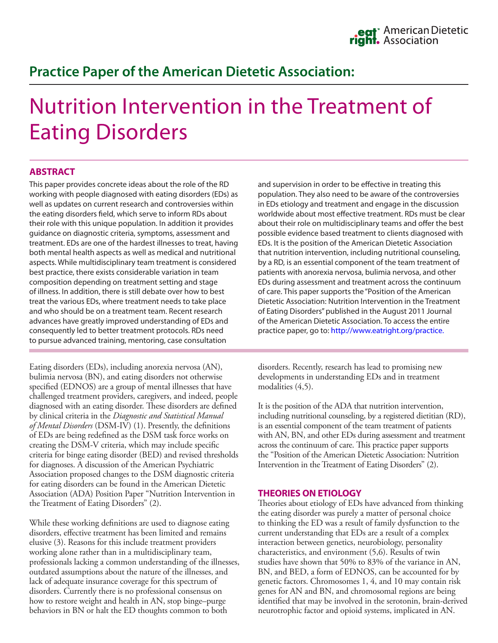# **Practice Paper of the American Dietetic Association:**

# Nutrition Intervention in the Treatment of Eating Disorders

# **ABSTRACT**

This paper provides concrete ideas about the role of the RD working with people diagnosed with eating disorders (EDs) as well as updates on current research and controversies within the eating disorders field, which serve to inform RDs about their role with this unique population. In addition it provides guidance on diagnostic criteria, symptoms, assessment and treatment. EDs are one of the hardest illnesses to treat, having both mental health aspects as well as medical and nutritional aspects. While multidisciplinary team treatment is considered best practice, there exists considerable variation in team composition depending on treatment setting and stage of illness. In addition, there is still debate over how to best treat the various EDs, where treatment needs to take place and who should be on a treatment team. Recent research advances have greatly improved understanding of EDs and consequently led to better treatment protocols. RDs need to pursue advanced training, mentoring, case consultation

Eating disorders (EDs), including anorexia nervosa (AN), bulimia nervosa (BN), and eating disorders not otherwise specified (EDNOS) are a group of mental illnesses that have challenged treatment providers, caregivers, and indeed, people diagnosed with an eating disorder. These disorders are defined by clinical criteria in the *Diagnostic and Statistical Manual of Mental Disorders* (DSM-IV) (1). Presently, the definitions of EDs are being redefined as the DSM task force works on creating the DSM-V criteria, which may include specific criteria for binge eating disorder (BED) and revised thresholds for diagnoses. A discussion of the American Psychiatric Association proposed changes to the DSM diagnostic criteria for eating disorders can be found in the American Dietetic Association (ADA) Position Paper "Nutrition Intervention in the Treatment of Eating Disorders" (2).

While these working definitions are used to diagnose eating disorders, effective treatment has been limited and remains elusive (3). Reasons for this include treatment providers working alone rather than in a multidisciplinary team, professionals lacking a common understanding of the illnesses, outdated assumptions about the nature of the illnesses, and lack of adequate insurance coverage for this spectrum of disorders. Currently there is no professional consensus on how to restore weight and health in AN, stop binge–purge behaviors in BN or halt the ED thoughts common to both

and supervision in order to be effective in treating this population. They also need to be aware of the controversies in EDs etiology and treatment and engage in the discussion worldwide about most effective treatment. RDs must be clear about their role on multidisciplinary teams and offer the best possible evidence based treatment to clients diagnosed with EDs. It is the position of the American Dietetic Association that nutrition intervention, including nutritional counseling, by a RD, is an essential component of the team treatment of patients with anorexia nervosa, bulimia nervosa, and other EDs during assessment and treatment across the continuum of care. This paper supports the "Position of the American Dietetic Association: Nutrition Intervention in the Treatment of Eating Disorders" published in the August 2011 Journal of the American Dietetic Association. To access the entire practice paper, go to:<http://www.eatright.org/practice>.

disorders. Recently, research has lead to promising new developments in understanding EDs and in treatment modalities  $(4,5)$ .

It is the position of the ADA that nutrition intervention, including nutritional counseling, by a registered dietitian (RD), is an essential component of the team treatment of patients with AN, BN, and other EDs during assessment and treatment across the continuum of care. This practice paper supports the "Position of the American Dietetic Association: Nutrition Intervention in the Treatment of Eating Disorders" (2).

#### **THEORIES ON ETIOLOGY**

Theories about etiology of EDs have advanced from thinking the eating disorder was purely a matter of personal choice to thinking the ED was a result of family dysfunction to the current understanding that EDs are a result of a complex interaction between genetics, neurobiology, personality characteristics, and environment (5,6). Results of twin studies have shown that 50% to 83% of the variance in AN, BN, and BED, a form of EDNOS, can be accounted for by genetic factors. Chromosomes 1, 4, and 10 may contain risk genes for AN and BN, and chromosomal regions are being identified that may be involved in the serotonin, brain-derived neurotrophic factor and opioid systems, implicated in AN.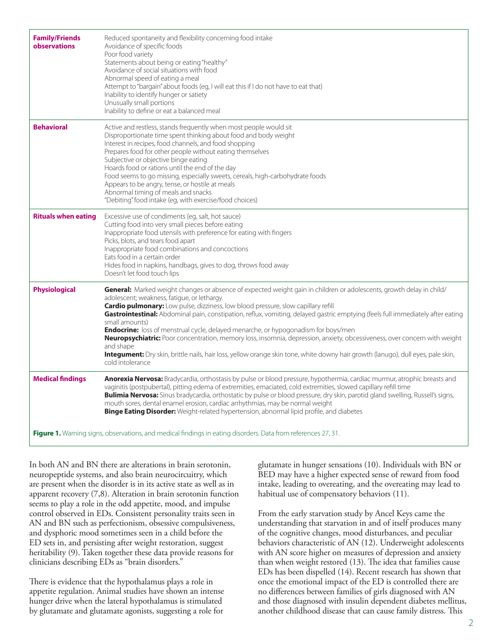| <b>Family/Friends</b><br>observations | Reduced spontaneity and flexibility concerning food intake<br>Avoidance of specific foods<br>Poor food variety<br>Statements about being or eating "healthy"<br>Avoidance of social situations with food<br>Abnormal speed of eating a meal<br>Attempt to "bargain" about foods (eg, I will eat this if I do not have to eat that)<br>Inability to identify hunger or satiety<br>Unusually small portions<br>Inability to define or eat a balanced meal                                                                                                                                                                                                                                                                                                                                                             |
|---------------------------------------|---------------------------------------------------------------------------------------------------------------------------------------------------------------------------------------------------------------------------------------------------------------------------------------------------------------------------------------------------------------------------------------------------------------------------------------------------------------------------------------------------------------------------------------------------------------------------------------------------------------------------------------------------------------------------------------------------------------------------------------------------------------------------------------------------------------------|
| <b>Behavioral</b>                     | Active and restless, stands frequently when most people would sit<br>Disproportionate time spent thinking about food and body weight<br>Interest in recipes, food channels, and food shopping<br>Prepares food for other people without eating themselves<br>Subjective or objective binge eating<br>Hoards food or rations until the end of the day<br>Food seems to go missing, especially sweets, cereals, high-carbohydrate foods<br>Appears to be angry, tense, or hostile at meals<br>Abnormal timing of meals and snacks<br>"Debiting" food intake (eg, with exercise/food choices)                                                                                                                                                                                                                          |
| <b>Rituals when eating</b>            | Excessive use of condiments (eg, salt, hot sauce)<br>Cutting food into very small pieces before eating<br>Inappropriate food utensils with preference for eating with fingers<br>Picks, blots, and tears food apart<br>Inappropriate food combinations and concoctions<br>Eats food in a certain order<br>Hides food in napkins, handbags, gives to dog, throws food away<br>Doesn't let food touch lips                                                                                                                                                                                                                                                                                                                                                                                                            |
| <b>Physiological</b>                  | General: Marked weight changes or absence of expected weight gain in children or adolescents, growth delay in child/<br>adolescent; weakness, fatigue, or lethargy.<br><b>Cardio pulmonary:</b> Low pulse, dizziness, low blood pressure, slow capillary refill<br>Gastrointestinal: Abdominal pain, constipation, reflux, vomiting, delayed gastric emptying (feels full immediately after eating<br>small amounts)<br><b>Endocrine:</b> loss of menstrual cycle, delayed menarche, or hypogonadism for boys/men<br>Neuropsychiatric: Poor concentration, memory loss, insomnia, depression, anxiety, obcessiveness, over concern with weight<br>and shape<br>Integument: Dry skin, brittle nails, hair loss, yellow orange skin tone, white downy hair growth (lanugo), dull eyes, pale skin,<br>cold intolerance |
| <b>Medical findings</b>               | Anorexia Nervosa: Bradycardia, orthostasis by pulse or blood pressure, hypothermia, cardiac murmur, atrophic breasts and<br>vaginitis (postpubertal), pitting edema of extremities, emaciated, cold extremities, slowed capillary refill time<br>Bulimia Nervosa: Sinus bradycardia, orthostatic by pulse or blood pressure, dry skin, parotid gland swelling, Russell's signs,<br>mouth sores, dental enamel erosion, cardiac arrhythmias, may be normal weight<br>Binge Eating Disorder: Weight-related hypertension, abnormal lipid profile, and diabetes                                                                                                                                                                                                                                                        |
|                                       | Figure 1. Warning signs, observations, and medical findings in eating disorders. Data from references 27, 31.                                                                                                                                                                                                                                                                                                                                                                                                                                                                                                                                                                                                                                                                                                       |

In both AN and BN there are alterations in brain serotonin, neuropeptide systems, and also brain neurocircuitry, which are present when the disorder is in its active state as well as in apparent recovery (7,8). Alteration in brain serotonin function seems to play a role in the odd appetite, mood, and impulse control observed in EDs. Consistent personality traits seen in AN and BN such as perfectionism, obsessive compulsiveness, and dysphoric mood sometimes seen in a child before the ED sets in, and persisting after weight restoration, suggest heritability (9). Taken together these data provide reasons for clinicians describing EDs as "brain disorders."

There is evidence that the hypothalamus plays a role in appetite regulation. Animal studies have shown an intense hunger drive when the lateral hypothalamus is stimulated by glutamate and glutamate agonists, suggesting a role for

glutamate in hunger sensations (10). Individuals with BN or BED may have a higher expected sense of reward from food intake, leading to overeating, and the overeating may lead to habitual use of compensatory behaviors (11).

From the early starvation study by Ancel Keys came the understanding that starvation in and of itself produces many of the cognitive changes, mood disturbances, and peculiar behaviors characteristic of AN (12). Underweight adolescents with AN score higher on measures of depression and anxiety than when weight restored (13). The idea that families cause EDs has been dispelled (14). Recent research has shown that once the emotional impact of the ED is controlled there are no differences between families of girls diagnosed with AN and those diagnosed with insulin dependent diabetes mellitus, another childhood disease that can cause family distress. This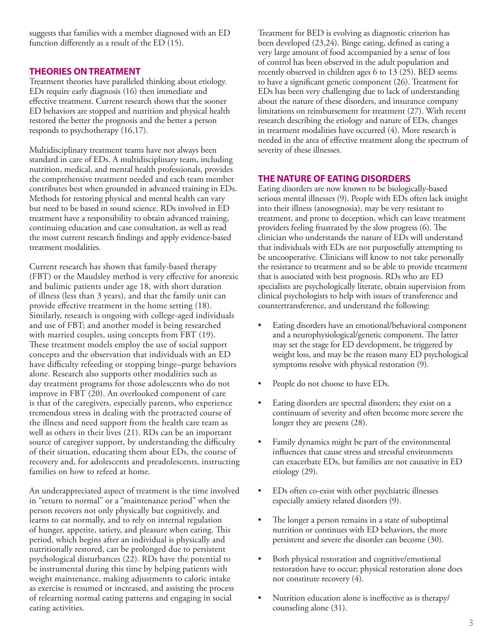suggests that families with a member diagnosed with an ED function differently as a result of the ED (15).

## **THEORIES ON TREATMENT**

Treatment theories have paralleled thinking about etiology. EDs require early diagnosis (16) then immediate and effective treatment. Current research shows that the sooner ED behaviors are stopped and nutrition and physical health restored the better the prognosis and the better a person responds to psychotherapy (16,17).

Multidisciplinary treatment teams have not always been standard in care of EDs. A multidisciplinary team, including nutrition, medical, and mental health professionals, provides the comprehensive treatment needed and each team member contributes best when grounded in advanced training in EDs. Methods for restoring physical and mental health can vary but need to be based in sound science. RDs involved in ED treatment have a responsibility to obtain advanced training, continuing education and case consultation, as well as read the most current research findings and apply evidence-based treatment modalities.

Current research has shown that family-based therapy (FBT) or the Maudsley method is very effective for anorexic and bulimic patients under age 18, with short duration of illness (less than 3 years), and that the family unit can provide effective treatment in the home setting (18). Similarly, research is ongoing with college-aged individuals and use of FBT; and another model is being researched with married couples, using concepts from FBT (19). These treatment models employ the use of social support concepts and the observation that individuals with an ED have difficulty refeeding or stopping binge–purge behaviors alone. Research also supports other modalities such as day treatment programs for those adolescents who do not improve in FBT (20). An overlooked component of care is that of the caregivers, especially parents, who experience tremendous stress in dealing with the protracted course of the illness and need support from the health care team as well as others in their lives (21). RDs can be an important source of caregiver support, by understanding the difficulty of their situation, educating them about EDs, the course of recovery and, for adolescents and preadolescents, instructing families on how to refeed at home.

An underappreciated aspect of treatment is the time involved in "return to normal" or a "maintenance period" when the person recovers not only physically but cognitively, and learns to eat normally, and to rely on internal regulation of hunger, appetite, satiety, and pleasure when eating. This period, which begins after an individual is physically and nutritionally restored, can be prolonged due to persistent psychological disturbances (22). RDs have the potential to be instrumental during this time by helping patients with weight maintenance, making adjustments to caloric intake as exercise is resumed or increased, and assisting the process of relearning normal eating patterns and engaging in social eating activities.

Treatment for BED is evolving as diagnostic criterion has been developed (23,24). Binge eating, defined as eating a very large amount of food accompanied by a sense of loss of control has been observed in the adult population and recently observed in children ages 6 to 13 (25). BED seems to have a significant genetic component (26). Treatment for EDs has been very challenging due to lack of understanding about the nature of these disorders, and insurance company limitations on reimbursement for treatment (27). With recent research describing the etiology and nature of EDs, changes in treatment modalities have occurred (4). More research is needed in the area of effective treatment along the spectrum of severity of these illnesses.

## **THE NATURE OF EATING DISORDERS**

Eating disorders are now known to be biologically-based serious mental illnesses (9). People with EDs often lack insight into their illness (anosognosia), may be very resistant to treatment, and prone to deception, which can leave treatment providers feeling frustrated by the slow progress (6). The clinician who understands the nature of EDs will understand that individuals with EDs are not purposefully attempting to be uncooperative. Clinicians will know to not take personally the resistance to treatment and so be able to provide treatment that is associated with best prognosis. RDs who are ED specialists are psychologically literate, obtain supervision from clinical psychologists to help with issues of transference and countertransference, and understand the following:

- Eating disorders have an emotional/behavioral component and a neurophysiological/genetic component. The latter may set the stage for ED development, be triggered by weight loss, and may be the reason many ED psychological symptoms resolve with physical restoration (9).
- People do not choose to have EDs.
- Eating disorders are spectral disorders; they exist on a continuum of severity and often become more severe the longer they are present (28).
- Family dynamics might be part of the environmental influences that cause stress and stressful environments can exacerbate EDs, but families are not causative in ED etiology (29).
- EDs often co-exist with other psychiatric illnesses especially anxiety related disorders (9).
- The longer a person remains in a state of suboptimal nutrition or continues with ED behaviors, the more persistent and severe the disorder can become (30).
- Both physical restoration and cognitive/emotional restoration have to occur; physical restoration alone does not constitute recovery (4).
- Nutrition education alone is ineffective as is therapy/ counseling alone (31).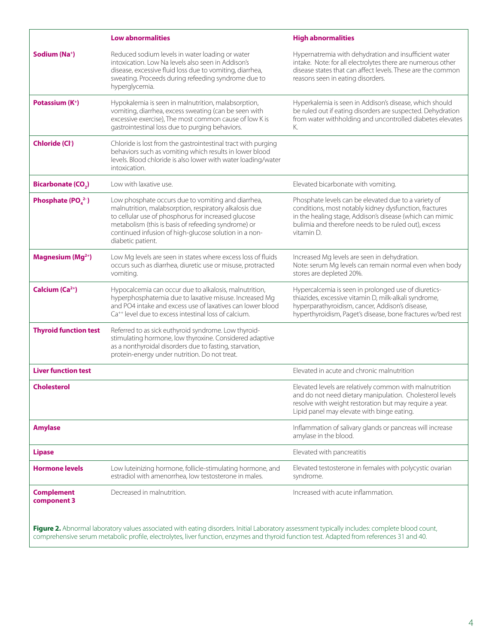|                                     | <b>Low abnormalities</b>                                                                                                                                                                                                                                                                                 | <b>High abnormalities</b>                                                                                                                                                                                                                        |
|-------------------------------------|----------------------------------------------------------------------------------------------------------------------------------------------------------------------------------------------------------------------------------------------------------------------------------------------------------|--------------------------------------------------------------------------------------------------------------------------------------------------------------------------------------------------------------------------------------------------|
| Sodium (Na <sup>+</sup> )           | Reduced sodium levels in water loading or water<br>intoxication. Low Na levels also seen in Addison's<br>disease, excessive fluid loss due to vomiting, diarrhea,<br>sweating. Proceeds during refeeding syndrome due to<br>hyperglycemia.                                                               | Hypernatremia with dehydration and insufficient water<br>intake. Note: for all electrolytes there are numerous other<br>disease states that can affect levels. These are the common<br>reasons seen in eating disorders.                         |
| Potassium (K <sup>+</sup> )         | Hypokalemia is seen in malnutrition, malabsorption,<br>vomiting, diarrhea, excess sweating (can be seen with<br>excessive exercise), The most common cause of low K is<br>gastrointestinal loss due to purging behaviors.                                                                                | Hyperkalemia is seen in Addison's disease, which should<br>be ruled out if eating disorders are suspected. Dehydration<br>from water withholding and uncontrolled diabetes elevates<br>К.                                                        |
| <b>Chloride (Cl-)</b>               | Chloride is lost from the gastrointestinal tract with purging<br>behaviors such as vomiting which results in lower blood<br>levels. Blood chloride is also lower with water loading/water<br>intoxication.                                                                                               |                                                                                                                                                                                                                                                  |
| <b>Bicarbonate (CO<sub>2</sub>)</b> | Low with laxative use.                                                                                                                                                                                                                                                                                   | Elevated bicarbonate with vomiting.                                                                                                                                                                                                              |
| Phosphate ( $POa2-$ )               | Low phosphate occurs due to vomiting and diarrhea,<br>malnutrition, malabsorption, respiratory alkalosis due<br>to cellular use of phosphorus for increased glucose<br>metabolism (this is basis of refeeding syndrome) or<br>continued infusion of high-glucose solution in a non-<br>diabetic patient. | Phosphate levels can be elevated due to a variety of<br>conditions, most notably kidney dysfunction, fractures<br>in the healing stage, Addison's disease (which can mimic<br>bulimia and therefore needs to be ruled out), excess<br>vitamin D. |
| Magnesium (Mg <sup>2+</sup> )       | Low Mg levels are seen in states where excess loss of fluids<br>occurs such as diarrhea, diuretic use or misuse, protracted<br>vomiting.                                                                                                                                                                 | Increased Mg levels are seen in dehydration.<br>Note: serum Mg levels can remain normal even when body<br>stores are depleted 20%.                                                                                                               |
| Calcium (Ca <sup>2+</sup> )         | Hypocalcemia can occur due to alkalosis, malnutrition,<br>hyperphosphatemia due to laxative misuse. Increased Mg<br>and PO4 intake and excess use of laxatives can lower blood<br>Ca <sup>++</sup> level due to excess intestinal loss of calcium.                                                       | Hypercalcemia is seen in prolonged use of diuretics-<br>thiazides, excessive vitamin D, milk-alkali syndrome,<br>hyperparathyroidism, cancer, Addison's disease,<br>hyperthyroidism, Paget's disease, bone fractures w/bed rest                  |
| <b>Thyroid function test</b>        | Referred to as sick euthyroid syndrome. Low thyroid-<br>stimulating hormone, low thyroxine. Considered adaptive<br>as a nonthyroidal disorders due to fasting, starvation,<br>protein-energy under nutrition. Do not treat.                                                                              |                                                                                                                                                                                                                                                  |
| <b>Liver function test</b>          |                                                                                                                                                                                                                                                                                                          | Elevated in acute and chronic malnutrition                                                                                                                                                                                                       |
| <b>Cholesterol</b>                  |                                                                                                                                                                                                                                                                                                          | Elevated levels are relatively common with malnutrition<br>and do not need dietary manipulation. Cholesterol levels<br>resolve with weight restoration but may require a year.<br>Lipid panel may elevate with binge eating.                     |
| <b>Amylase</b>                      |                                                                                                                                                                                                                                                                                                          | Inflammation of salivary glands or pancreas will increase<br>amylase in the blood.                                                                                                                                                               |
| <b>Lipase</b>                       |                                                                                                                                                                                                                                                                                                          | Elevated with pancreatitis                                                                                                                                                                                                                       |
| <b>Hormone levels</b>               | Low luteinizing hormone, follicle-stimulating hormone, and<br>estradiol with amenorrhea, low testosterone in males.                                                                                                                                                                                      | Elevated testosterone in females with polycystic ovarian<br>syndrome.                                                                                                                                                                            |
| <b>Complement</b><br>component 3    | Decreased in malnutrition.                                                                                                                                                                                                                                                                               | Increased with acute inflammation.                                                                                                                                                                                                               |
|                                     | Figure 2. Abnormal laboratory values associated with eating disorders. Initial Laboratory assessment typically includes: complete blood count,                                                                                                                                                           |                                                                                                                                                                                                                                                  |

comprehensive serum metabolic profile, electrolytes, liver function, enzymes and thyroid function test. Adapted from references 31 and 40.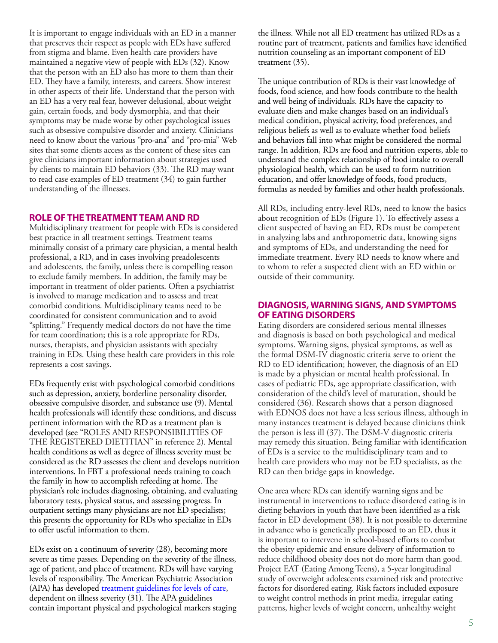It is important to engage individuals with an ED in a manner that preserves their respect as people with EDs have suffered from stigma and blame. Even health care providers have maintained a negative view of people with EDs (32). Know that the person with an ED also has more to them than their ED. They have a family, interests, and careers. Show interest in other aspects of their life. Understand that the person with an ED has a very real fear, however delusional, about weight gain, certain foods, and body dysmorphia, and that their symptoms may be made worse by other psychological issues such as obsessive compulsive disorder and anxiety. Clinicians need to know about the various "pro-ana" and "pro-mia" Web sites that some clients access as the content of these sites can give clinicians important information about strategies used by clients to maintain ED behaviors (33). The RD may want to read case examples of ED treatment (34) to gain further understanding of the illnesses.

#### **ROLE OF THE TREATMENT TEAM AND RD**

Multidisciplinary treatment for people with EDs is considered best practice in all treatment settings. Treatment teams minimally consist of a primary care physician, a mental health professional, a RD, and in cases involving preadolescents and adolescents, the family, unless there is compelling reason to exclude family members. In addition, the family may be important in treatment of older patients. Often a psychiatrist is involved to manage medication and to assess and treat comorbid conditions. Multidisciplinary teams need to be coordinated for consistent communication and to avoid "splitting." Frequently medical doctors do not have the time for team coordination; this is a role appropriate for RDs, nurses, therapists, and physician assistants with specialty training in EDs. Using these health care providers in this role represents a cost savings.

EDs frequently exist with psychological comorbid conditions such as depression, anxiety, borderline personality disorder, obsessive compulsive disorder, and substance use (9). Mental health professionals will identify these conditions, and discuss pertinent information with the RD as a treatment plan is developed (see "ROLES AND RESPONSIBILITIES OF THE REGISTERED DIETITIAN" in reference 2). Mental health conditions as well as degree of illness severity must be considered as the RD assesses the client and develops nutrition interventions. In FBT a professional needs training to coach the family in how to accomplish refeeding at home. The physician's role includes diagnosing, obtaining, and evaluating laboratory tests, physical status, and assessing progress. In outpatient settings many physicians are not ED specialists; this presents the opportunity for RDs who specialize in EDs to offer useful information to them.

EDs exist on a continuum of severity (28), becoming more severe as time passes. Depending on the severity of the illness, age of patient, and place of treatment, RDs will have varying levels of responsibility. The American Psychiatric Association (APA) has developed [treatment guidelines for levels of care,](http://www.psychiatryonline.com/popup.aspx?aID=139471) dependent on illness severity (31). The APA guidelines contain important physical and psychological markers staging the illness. While not all ED treatment has utilized RDs as a routine part of treatment, patients and families have identified nutrition counseling as an important component of ED treatment (35).

The unique contribution of RDs is their vast knowledge of foods, food science, and how foods contribute to the health and well being of individuals. RDs have the capacity to evaluate diets and make changes based on an individual's medical condition, physical activity, food preferences, and religious beliefs as well as to evaluate whether food beliefs and behaviors fall into what might be considered the normal range. In addition, RDs are food and nutrition experts, able to understand the complex relationship of food intake to overall physiological health, which can be used to form nutrition education, and offer knowledge of foods, food products, formulas as needed by families and other health professionals.

All RDs, including entry-level RDs, need to know the basics about recognition of EDs (Figure 1). To effectively assess a client suspected of having an ED, RDs must be competent in analyzing labs and anthropometric data, knowing signs and symptoms of EDs, and understanding the need for immediate treatment. Every RD needs to know where and to whom to refer a suspected client with an ED within or outside of their community.

#### **DIAGNOSIS, WARNING SIGNS, AND SYMPTOMS OF EATING DISORDERS**

Eating disorders are considered serious mental illnesses and diagnosis is based on both psychological and medical symptoms. Warning signs, physical symptoms, as well as the formal DSM-IV diagnostic criteria serve to orient the RD to ED identification; however, the diagnosis of an ED is made by a physician or mental health professional. In cases of pediatric EDs, age appropriate classification, with consideration of the child's level of maturation, should be considered (36). Research shows that a person diagnosed with EDNOS does not have a less serious illness, although in many instances treatment is delayed because clinicians think the person is less ill (37). The DSM-V diagnostic criteria may remedy this situation. Being familiar with identification of EDs is a service to the multidisciplinary team and to health care providers who may not be ED specialists, as the RD can then bridge gaps in knowledge.

One area where RDs can identify warning signs and be instrumental in interventions to reduce disordered eating is in dieting behaviors in youth that have been identified as a risk factor in ED development (38). It is not possible to determine in advance who is genetically predisposed to an ED, thus it is important to intervene in school-based efforts to combat the obesity epidemic and ensure delivery of information to reduce childhood obesity does not do more harm than good. Project EAT (Eating Among Teens), a 5-year longitudinal study of overweight adolescents examined risk and protective factors for disordered eating. Risk factors included exposure to weight control methods in print media, irregular eating patterns, higher levels of weight concern, unhealthy weight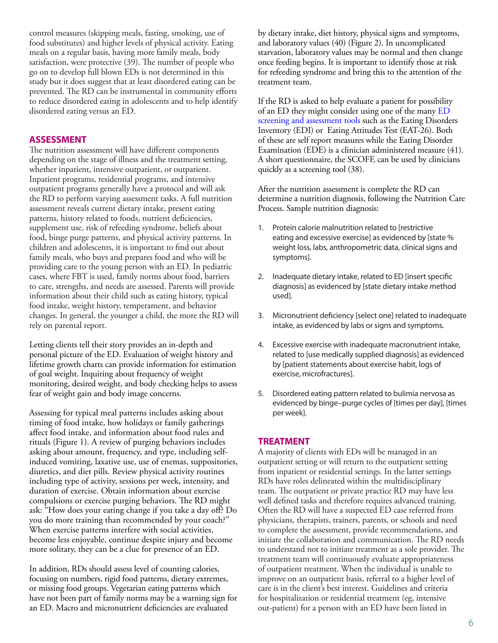control measures (skipping meals, fasting, smoking, use of food substitutes) and higher levels of physical activity. Eating meals on a regular basis, having more family meals, body satisfaction, were protective (39). The number of people who go on to develop full blown EDs is not determined in this study but it does suggest that at least disordered eating can be prevented. The RD can be instrumental in community efforts to reduce disordered eating in adolescents and to help identify disordered eating versus an ED.

#### **ASSESSMENT**

The nutrition assessment will have different components depending on the stage of illness and the treatment setting, whether inpatient, intensive outpatient, or outpatient. Inpatient programs, residential programs, and intensive outpatient programs generally have a protocol and will ask the RD to perform varying assessment tasks. A full nutrition assessment reveals current dietary intake, present eating patterns, history related to foods, nutrient deficiencies, supplement use, risk of refeeding syndrome, beliefs about food, binge purge patterns, and physical activity patterns. In children and adolescents, it is important to find out about family meals, who buys and prepares food and who will be providing care to the young person with an ED. In pediatric cases, where FBT is used, family norms about food, barriers to care, strengths, and needs are assessed. Parents will provide information about their child such as eating history, typical food intake, weight history, temperament, and behavior changes. In general, the younger a child, the more the RD will rely on parental report.

Letting clients tell their story provides an in-depth and personal picture of the ED. Evaluation of weight history and lifetime growth charts can provide information for estimation of goal weight. Inquiring about frequency of weight monitoring, desired weight, and body checking helps to assess fear of weight gain and body image concerns.

Assessing for typical meal patterns includes asking about timing of food intake, how holidays or family gatherings affect food intake, and information about food rules and rituals (Figure 1). A review of purging behaviors includes asking about amount, frequency, and type, including selfinduced vomiting, laxative use, use of enemas, suppositories, diuretics, and diet pills. Review physical activity routines including type of activity, sessions per week, intensity, and duration of exercise. Obtain information about exercise compulsions or exercise purging behaviors. The RD might ask: "How does your eating change if you take a day off? Do you do more training than recommended by your coach?" When exercise patterns interfere with social activities, become less enjoyable, continue despite injury and become more solitary, they can be a clue for presence of an ED.

In addition, RDs should assess level of counting calories, focusing on numbers, rigid food patterns, dietary extremes, or missing food groups. Vegetarian eating patterns which have not been part of family norms may be a warning sign for an ED. Macro and micronutrient deficiencies are evaluated

by dietary intake, diet history, physical signs and symptoms, and laboratory values (40) (Figure 2). In uncomplicated starvation, laboratory values may be normal and then change once feeding begins. It is important to identify those at risk for refeeding syndrome and bring this to the attention of the treatment team.

If the RD is asked to help evaluate a patient for possibility of an ED they might consider using one of the many [ED](http://www.aedweb.org/AM/Template.cfm?Section=Research_Practice_Guidelines&Template=/CM/ContentDisplay.cfm&ContentID=1900#CIT)  [screening and assessment tools](http://www.aedweb.org/AM/Template.cfm?Section=Research_Practice_Guidelines&Template=/CM/ContentDisplay.cfm&ContentID=1900#CIT) such as the Eating Disorders Inventory (EDI) or Eating Attitudes Test (EAT-26). Both of these are self report measures while the Eating Disorder Examination (EDE) is a clinician administered measure (41). A short questionnaire, the SCOFF, can be used by clinicians quickly as a screening tool (38).

After the nutrition assessment is complete the RD can determine a nutrition diagnosis, following the Nutrition Care Process. Sample nutrition diagnosis:

- 1. Protein calorie malnutrition related to [restrictive eating and excessive exercise] as evidenced by [state % weight loss, labs, anthropometric data, clinical signs and symptoms].
- 2. Inadequate dietary intake, related to ED [insert specific diagnosis] as evidenced by [state dietary intake method used].
- 3. Micronutrient deficiency [select one] related to inadequate intake, as evidenced by labs or signs and symptoms.
- 4. Excessive exercise with inadequate macronutrient intake, related to [use medically supplied diagnosis] as evidenced by [patient statements about exercise habit, logs of exercise, microfractures].
- 5. Disordered eating pattern related to bulimia nervosa as evidenced by binge–purge cycles of [times per day], [times per week].

#### **TREATMENT**

A majority of clients with EDs will be managed in an outpatient setting or will return to the outpatient setting from inpatient or residential settings. In the latter settings RDs have roles delineated within the multidisciplinary team. The outpatient or private practice RD may have less well defined tasks and therefore requires advanced training. Often the RD will have a suspected ED case referred from physicians, therapists, trainers, parents, or schools and need to complete the assessment, provide recommendations, and initiate the collaboration and communication. The RD needs to understand not to initiate treatment as a sole provider. The treatment team will continuously evaluate appropriateness of outpatient treatment. When the individual is unable to improve on an outpatient basis, referral to a higher level of care is in the client's best interest. Guidelines and criteria for hospitalization or residential treatment (eg, intensive out-patient) for a person with an ED have been listed in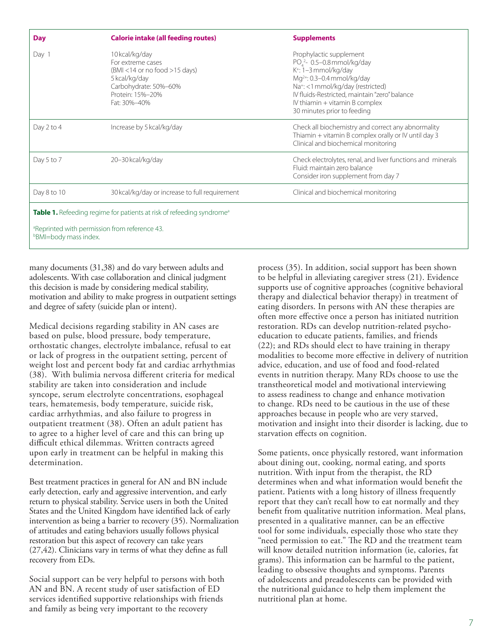| <b>Day</b>                                                                                | <b>Calorie intake (all feeding routes)</b>                                                                                                             | <b>Supplements</b>                                                                                                                                                                                                                                                                                                              |  |  |
|-------------------------------------------------------------------------------------------|--------------------------------------------------------------------------------------------------------------------------------------------------------|---------------------------------------------------------------------------------------------------------------------------------------------------------------------------------------------------------------------------------------------------------------------------------------------------------------------------------|--|--|
| Day 1                                                                                     | 10kcal/kg/day<br>For extreme cases<br>$(BMI < 14$ or no food $>15$ days)<br>5 kcal/kg/day<br>Carbohydrate: 50%-60%<br>Protein: 15%-20%<br>Fat: 30%-40% | Prophylactic supplement<br>PO <sub>4</sub> <sup>2</sup> -0.5-0.8 mmol/kg/day<br>K <sup>+</sup> : 1-3 mmol/kg/day<br>Mg <sup>2+</sup> : 0.3-0.4 mmol/kg/day<br>Na <sup>+</sup> : <1 mmol/kg/day (restricted)<br>IV fluids-Restricted, maintain "zero" balance<br>IV thiamin $+$ vitamin B complex<br>30 minutes prior to feeding |  |  |
| Day 2 to 4                                                                                | Increase by 5 kcal/kg/day                                                                                                                              | Check all biochemistry and correct any abnormality<br>Thiamin + vitamin B complex orally or IV until day 3<br>Clinical and biochemical monitoring                                                                                                                                                                               |  |  |
| Day 5 to 7                                                                                | 20-30 kcal/kg/day                                                                                                                                      | Check electrolytes, renal, and liver functions and minerals<br>Fluid: maintain zero balance<br>Consider iron supplement from day 7                                                                                                                                                                                              |  |  |
| Day 8 to 10                                                                               | 30 kcal/kg/day or increase to full requirement                                                                                                         | Clinical and biochemical monitoring                                                                                                                                                                                                                                                                                             |  |  |
| <b>Table 1.</b> Refeeding regime for patients at risk of refeeding syndrome <sup>a</sup>  |                                                                                                                                                        |                                                                                                                                                                                                                                                                                                                                 |  |  |
| <sup>a</sup> Reprinted with permission from reference 43.<br><b>bBMI=body mass index.</b> |                                                                                                                                                        |                                                                                                                                                                                                                                                                                                                                 |  |  |

many documents (31,38) and do vary between adults and adolescents. With case collaboration and clinical judgment this decision is made by considering medical stability, motivation and ability to make progress in outpatient settings and degree of safety (suicide plan or intent).

Medical decisions regarding stability in AN cases are based on pulse, blood pressure, body temperature, orthostatic changes, electrolyte imbalance, refusal to eat or lack of progress in the outpatient setting, percent of weight lost and percent body fat and cardiac arrhythmias (38). With bulimia nervosa different criteria for medical stability are taken into consideration and include syncope, serum electrolyte concentrations, esophageal tears, hematemesis, body temperature, suicide risk, cardiac arrhythmias, and also failure to progress in outpatient treatment (38). Often an adult patient has to agree to a higher level of care and this can bring up difficult ethical dilemmas. Written contracts agreed upon early in treatment can be helpful in making this determination.

Best treatment practices in general for AN and BN include early detection, early and aggressive intervention, and early return to physical stability. Service users in both the United States and the United Kingdom have identified lack of early intervention as being a barrier to recovery (35). Normalization of attitudes and eating behaviors usually follows physical restoration but this aspect of recovery can take years (27,42). Clinicians vary in terms of what they define as full recovery from EDs.

Social support can be very helpful to persons with both AN and BN. A recent study of user satisfaction of ED services identified supportive relationships with friends and family as being very important to the recovery

process (35). In addition, social support has been shown to be helpful in alleviating caregiver stress (21). Evidence supports use of cognitive approaches (cognitive behavioral therapy and dialectical behavior therapy) in treatment of eating disorders. In persons with AN these therapies are often more effective once a person has initiated nutrition restoration. RDs can develop nutrition-related psychoeducation to educate patients, families, and friends (22); and RDs should elect to have training in therapy modalities to become more effective in delivery of nutrition advice, education, and use of food and food-related events in nutrition therapy. Many RDs choose to use the transtheoretical model and motivational interviewing to assess readiness to change and enhance motivation to change. RDs need to be cautious in the use of these approaches because in people who are very starved, motivation and insight into their disorder is lacking, due to starvation effects on cognition.

Some patients, once physically restored, want information about dining out, cooking, normal eating, and sports nutrition. With input from the therapist, the RD determines when and what information would benefit the patient. Patients with a long history of illness frequently report that they can't recall how to eat normally and they benefit from qualitative nutrition information. Meal plans, presented in a qualitative manner, can be an effective tool for some individuals, especially those who state they "need permission to eat." The RD and the treatment team will know detailed nutrition information (ie, calories, fat grams). This information can be harmful to the patient, leading to obsessive thoughts and symptoms. Parents of adolescents and preadolescents can be provided with the nutritional guidance to help them implement the nutritional plan at home.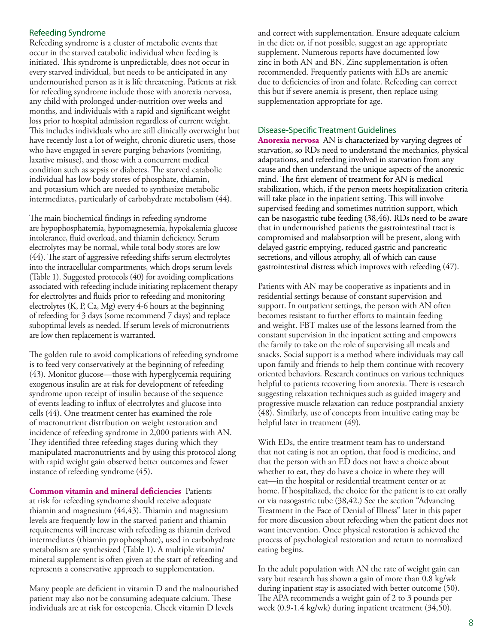#### Refeeding Syndrome

Refeeding syndrome is a cluster of metabolic events that occur in the starved catabolic individual when feeding is initiated. This syndrome is unpredictable, does not occur in every starved individual, but needs to be anticipated in any undernourished person as it is life threatening. Patients at risk for refeeding syndrome include those with anorexia nervosa, any child with prolonged under-nutrition over weeks and months, and individuals with a rapid and significant weight loss prior to hospital admission regardless of current weight. This includes individuals who are still clinically overweight but have recently lost a lot of weight, chronic diuretic users, those who have engaged in severe purging behaviors (vomiting, laxative misuse), and those with a concurrent medical condition such as sepsis or diabetes. The starved catabolic individual has low body stores of phosphate, thiamin, and potassium which are needed to synthesize metabolic intermediates, particularly of carbohydrate metabolism (44).

The main biochemical findings in refeeding syndrome are hypophosphatemia, hypomagnesemia, hypokalemia glucose intolerance, fluid overload, and thiamin deficiency. Serum electrolytes may be normal, while total body stores are low (44). The start of aggressive refeeding shifts serum electrolytes into the intracellular compartments, which drops serum levels (Table 1). Suggested protocols (40) for avoiding complications associated with refeeding include initiating replacement therapy for electrolytes and fluids prior to refeeding and monitoring electrolytes (K, P, Ca, Mg) every 4-6 hours at the beginning of refeeding for 3 days (some recommend 7 days) and replace suboptimal levels as needed. If serum levels of micronutrients are low then replacement is warranted.

The golden rule to avoid complications of refeeding syndrome is to feed very conservatively at the beginning of refeeding (43). Monitor glucose—those with hyperglycemia requiring exogenous insulin are at risk for development of refeeding syndrome upon receipt of insulin because of the sequence of events leading to influx of electrolytes and glucose into cells (44). One treatment center has examined the role of macronutrient distribution on weight restoration and incidence of refeeding syndrome in 2,000 patients with AN. They identified three refeeding stages during which they manipulated macronutrients and by using this protocol along with rapid weight gain observed better outcomes and fewer instance of refeeding syndrome (45).

**Common vitamin and mineral deficiencies** Patients at risk for refeeding syndrome should receive adequate thiamin and magnesium (44,43). Thiamin and magnesium levels are frequently low in the starved patient and thiamin requirements will increase with refeeding as thiamin derived intermediates (thiamin pyrophosphate), used in carbohydrate metabolism are synthesized (Table 1). A multiple vitamin/ mineral supplement is often given at the start of refeeding and represents a conservative approach to supplementation.

Many people are deficient in vitamin D and the malnourished patient may also not be consuming adequate calcium. These individuals are at risk for osteopenia. Check vitamin D levels

and correct with supplementation. Ensure adequate calcium in the diet; or, if not possible, suggest an age appropriate supplement. Numerous reports have documented low zinc in both AN and BN. Zinc supplementation is often recommended. Frequently patients with EDs are anemic due to deficiencies of iron and folate. Refeeding can correct this but if severe anemia is present, then replace using supplementation appropriate for age.

#### Disease-Specific Treatment Guidelines

**Anorexia nervosa** AN is characterized by varying degrees of starvation, so RDs need to understand the mechanics, physical adaptations, and refeeding involved in starvation from any cause and then understand the unique aspects of the anorexic mind. The first element of treatment for AN is medical stabilization, which, if the person meets hospitalization criteria will take place in the inpatient setting. This will involve supervised feeding and sometimes nutrition support, which can be nasogastric tube feeding (38,46). RDs need to be aware that in undernourished patients the gastrointestinal tract is compromised and malabsorption will be present, along with delayed gastric emptying, reduced gastric and pancreatic secretions, and villous atrophy, all of which can cause gastrointestinal distress which improves with refeeding (47).

Patients with AN may be cooperative as inpatients and in residential settings because of constant supervision and support. In outpatient settings, the person with AN often becomes resistant to further efforts to maintain feeding and weight. FBT makes use of the lessons learned from the constant supervision in the inpatient setting and empowers the family to take on the role of supervising all meals and snacks. Social support is a method where individuals may call upon family and friends to help them continue with recovery oriented behaviors. Research continues on various techniques helpful to patients recovering from anorexia. There is research suggesting relaxation techniques such as guided imagery and progressive muscle relaxation can reduce postprandial anxiety (48). Similarly, use of concepts from intuitive eating may be helpful later in treatment (49).

With EDs, the entire treatment team has to understand that not eating is not an option, that food is medicine, and that the person with an ED does not have a choice about whether to eat, they do have a choice in where they will eat—in the hospital or residential treatment center or at home. If hospitalized, the choice for the patient is to eat orally or via nasogastric tube (38,42.) See the section "Advancing Treatment in the Face of Denial of Illness" later in this paper for more discussion about refeeding when the patient does not want intervention. Once physical restoration is achieved the process of psychological restoration and return to normalized eating begins.

In the adult population with AN the rate of weight gain can vary but research has shown a gain of more than 0.8 kg/wk during inpatient stay is associated with better outcome (50). The APA recommends a weight gain of 2 to 3 pounds per week (0.9-1.4 kg/wk) during inpatient treatment (34,50).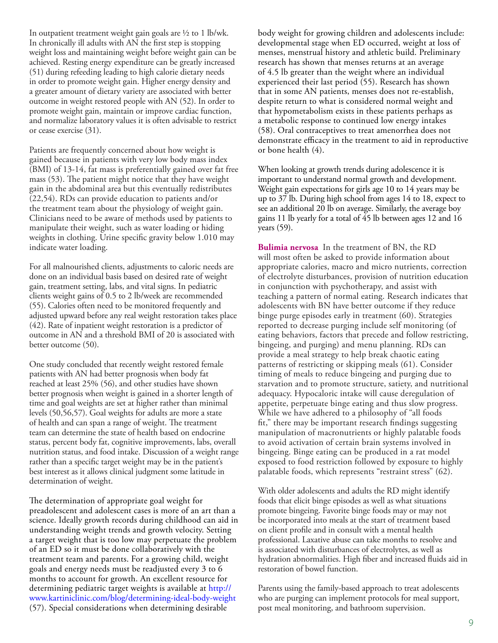In outpatient treatment weight gain goals are  $\frac{1}{2}$  to 1 lb/wk. In chronically ill adults with AN the first step is stopping weight loss and maintaining weight before weight gain can be achieved. Resting energy expenditure can be greatly increased (51) during refeeding leading to high calorie dietary needs in order to promote weight gain. Higher energy density and a greater amount of dietary variety are associated with better outcome in weight restored people with AN (52). In order to promote weight gain, maintain or improve cardiac function, and normalize laboratory values it is often advisable to restrict or cease exercise (31).

Patients are frequently concerned about how weight is gained because in patients with very low body mass index (BMI) of 13-14, fat mass is preferentially gained over fat free mass (53). The patient might notice that they have weight gain in the abdominal area but this eventually redistributes (22,54). RDs can provide education to patients and/or the treatment team about the physiology of weight gain. Clinicians need to be aware of methods used by patients to manipulate their weight, such as water loading or hiding weights in clothing. Urine specific gravity below 1.010 may indicate water loading.

For all malnourished clients, adjustments to caloric needs are done on an individual basis based on desired rate of weight gain, treatment setting, labs, and vital signs. In pediatric clients weight gains of 0.5 to 2 lb/week are recommended (55). Calories often need to be monitored frequently and adjusted upward before any real weight restoration takes place (42). Rate of inpatient weight restoration is a predictor of outcome in AN and a threshold BMI of 20 is associated with better outcome (50).

One study concluded that recently weight restored female patients with AN had better prognosis when body fat reached at least 25% (56), and other studies have shown better prognosis when weight is gained in a shorter length of time and goal weights are set at higher rather than minimal levels (50,56,57). Goal weights for adults are more a state of health and can span a range of weight. The treatment team can determine the state of health based on endocrine status, percent body fat, cognitive improvements, labs, overall nutrition status, and food intake. Discussion of a weight range rather than a specific target weight may be in the patient's best interest as it allows clinical judgment some latitude in determination of weight.

The determination of appropriate goal weight for preadolescent and adolescent cases is more of an art than a science. Ideally growth records during childhood can aid in understanding weight trends and growth velocity. Setting a target weight that is too low may perpetuate the problem of an ED so it must be done collaboratively with the treatment team and parents. For a growing child, weight goals and energy needs must be readjusted every 3 to 6 months to account for growth. An excellent resource for determining pediatric target weights is available at [http://](http://www.kartiniclinic.com/blog/determining-ideal-body-weight) [www.kartiniclinic.com/blog/determining-ideal-body-weight](http://www.kartiniclinic.com/blog/determining-ideal-body-weight) (57). Special considerations when determining desirable

body weight for growing children and adolescents include: developmental stage when ED occurred, weight at loss of menses, menstrual history and athletic build. Preliminary research has shown that menses returns at an average of 4.5 lb greater than the weight where an individual experienced their last period (55). Research has shown that in some AN patients, menses does not re-establish, despite return to what is considered normal weight and that hypometabolism exists in these patients perhaps as a metabolic response to continued low energy intakes (58). Oral contraceptives to treat amenorrhea does not demonstrate efficacy in the treatment to aid in reproductive or bone health (4).

When looking at growth trends during adolescence it is important to understand normal growth and development. Weight gain expectations for girls age 10 to 14 years may be up to 37 lb. During high school from ages 14 to 18, expect to see an additional 20 lb on average. Similarly, the average boy gains 11 lb yearly for a total of 45 lb between ages 12 and 16 years (59).

**Bulimia nervosa** In the treatment of BN, the RD will most often be asked to provide information about appropriate calories, macro and micro nutrients, correction of electrolyte disturbances, provision of nutrition education in conjunction with psychotherapy, and assist with teaching a pattern of normal eating. Research indicates that adolescents with BN have better outcome if they reduce binge purge episodes early in treatment (60). Strategies reported to decrease purging include self monitoring (of eating behaviors, factors that precede and follow restricting, bingeing, and purging) and menu planning. RDs can provide a meal strategy to help break chaotic eating patterns of restricting or skipping meals (61). Consider timing of meals to reduce bingeing and purging due to starvation and to promote structure, satiety, and nutritional adequacy. Hypocaloric intake will cause deregulation of appetite, perpetuate binge eating and thus slow progress. While we have adhered to a philosophy of "all foods fit," there may be important research findings suggesting manipulation of macronutrients or highly palatable foods to avoid activation of certain brain systems involved in bingeing. Binge eating can be produced in a rat model exposed to food restriction followed by exposure to highly palatable foods, which represents "restraint stress" (62).

With older adolescents and adults the RD might identify foods that elicit binge episodes as well as what situations promote bingeing. Favorite binge foods may or may not be incorporated into meals at the start of treatment based on client profile and in consult with a mental health professional. Laxative abuse can take months to resolve and is associated with disturbances of electrolytes, as well as hydration abnormalities. High fiber and increased fluids aid in restoration of bowel function.

Parents using the family-based approach to treat adolescents who are purging can implement protocols for meal support, post meal monitoring, and bathroom supervision.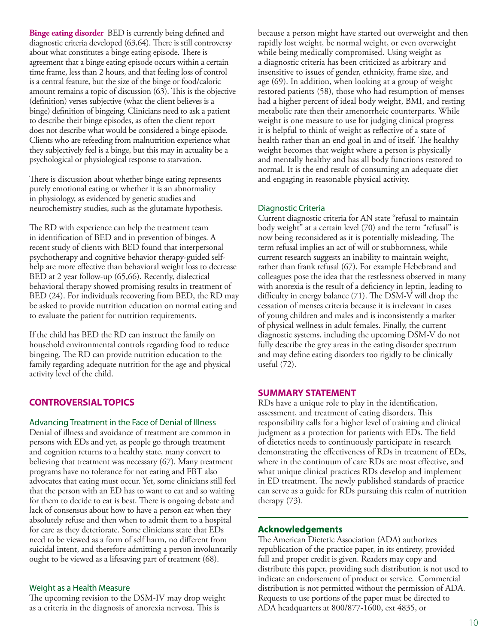**Binge eating disorder** BED is currently being defined and diagnostic criteria developed (63,64). There is still controversy about what constitutes a binge eating episode. There is agreement that a binge eating episode occurs within a certain time frame, less than 2 hours, and that feeling loss of control is a central feature, but the size of the binge or food/caloric amount remains a topic of discussion (63). This is the objective (definition) verses subjective (what the client believes is a binge) definition of bingeing. Clinicians need to ask a patient to describe their binge episodes, as often the client report does not describe what would be considered a binge episode. Clients who are refeeding from malnutrition experience what they subjectively feel is a binge, but this may in actuality be a psychological or physiological response to starvation.

There is discussion about whether binge eating represents purely emotional eating or whether it is an abnormality in physiology, as evidenced by genetic studies and neurochemistry studies, such as the glutamate hypothesis.

The RD with experience can help the treatment team in identification of BED and in prevention of binges. A recent study of clients with BED found that interpersonal psychotherapy and cognitive behavior therapy-guided selfhelp are more effective than behavioral weight loss to decrease BED at 2 year follow-up (65,66). Recently, dialectical behavioral therapy showed promising results in treatment of BED (24). For individuals recovering from BED, the RD may be asked to provide nutrition education on normal eating and to evaluate the patient for nutrition requirements.

If the child has BED the RD can instruct the family on household environmental controls regarding food to reduce bingeing. The RD can provide nutrition education to the family regarding adequate nutrition for the age and physical activity level of the child.

#### **CONTROVERSIAL TOPICS**

#### Advancing Treatment in the Face of Denial of Illness

Denial of illness and avoidance of treatment are common in persons with EDs and yet, as people go through treatment and cognition returns to a healthy state, many convert to believing that treatment was necessary (67). Many treatment programs have no tolerance for not eating and FBT also advocates that eating must occur. Yet, some clinicians still feel that the person with an ED has to want to eat and so waiting for them to decide to eat is best. There is ongoing debate and lack of consensus about how to have a person eat when they absolutely refuse and then when to admit them to a hospital for care as they deteriorate. Some clinicians state that EDs need to be viewed as a form of self harm, no different from suicidal intent, and therefore admitting a person involuntarily ought to be viewed as a lifesaving part of treatment (68).

#### Weight as a Health Measure

The upcoming revision to the DSM-IV may drop weight as a criteria in the diagnosis of anorexia nervosa. This is

because a person might have started out overweight and then rapidly lost weight, be normal weight, or even overweight while being medically compromised. Using weight as a diagnostic criteria has been criticized as arbitrary and insensitive to issues of gender, ethnicity, frame size, and age (69). In addition, when looking at a group of weight restored patients (58), those who had resumption of menses had a higher percent of ideal body weight, BMI, and resting metabolic rate then their amenorrheic counterparts. While weight is one measure to use for judging clinical progress it is helpful to think of weight as reflective of a state of health rather than an end goal in and of itself. The healthy weight becomes that weight where a person is physically and mentally healthy and has all body functions restored to normal. It is the end result of consuming an adequate diet and engaging in reasonable physical activity.

#### Diagnostic Criteria

Current diagnostic criteria for AN state "refusal to maintain body weight" at a certain level (70) and the term "refusal" is now being reconsidered as it is potentially misleading. The term refusal implies an act of will or stubbornness, while current research suggests an inability to maintain weight, rather than frank refusal (67). For example Hebebrand and colleagues pose the idea that the restlessness observed in many with anorexia is the result of a deficiency in leptin, leading to difficulty in energy balance (71). The DSM-V will drop the cessation of menses criteria because it is irrelevant in cases of young children and males and is inconsistently a marker of physical wellness in adult females. Finally, the current diagnostic systems, including the upcoming DSM-V do not fully describe the grey areas in the eating disorder spectrum and may define eating disorders too rigidly to be clinically useful (72).

#### **SUMMARY STATEMENT**

RDs have a unique role to play in the identification, assessment, and treatment of eating disorders. This responsibility calls for a higher level of training and clinical judgment as a protection for patients with EDs. The field of dietetics needs to continuously participate in research demonstrating the effectiveness of RDs in treatment of EDs, where in the continuum of care RDs are most effective, and what unique clinical practices RDs develop and implement in ED treatment. The newly published standards of practice can serve as a guide for RDs pursuing this realm of nutrition therapy (73).

#### **Acknowledgements**

The American Dietetic Association (ADA) authorizes republication of the practice paper, in its entirety, provided full and proper credit is given. Readers may copy and distribute this paper, providing such distribution is not used to indicate an endorsement of product or service. Commercial distribution is not permitted without the permission of ADA. Requests to use portions of the paper must be directed to ADA headquarters at 800/877-1600, ext 4835, or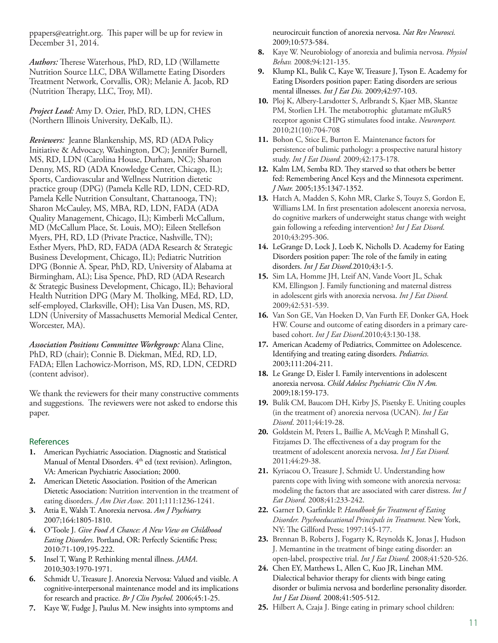ppapers@eatright.org. This paper will be up for review in December 31, 2014.

*Authors:* Therese Waterhous, PhD, RD, LD (Willamette Nutrition Source LLC, DBA Willamette Eating Disorders Treatment Network, Corvallis, OR); Melanie A. Jacob, RD (Nutrition Therapy, LLC, Troy, MI).

*Project Lead:* Amy D. Ozier, PhD, RD, LDN, CHES (Northern Illinois University, DeKalb, IL).

*Reviewers:* Jeanne Blankenship, MS, RD (ADA Policy Initiative & Advocacy, Washington, DC); Jennifer Burnell, MS, RD, LDN (Carolina House, Durham, NC); Sharon Denny, MS, RD (ADA Knowledge Center, Chicago, IL); Sports, Cardiovascular and Wellness Nutrition dietetic practice group (DPG) (Pamela Kelle RD, LDN, CED-RD, Pamela Kelle Nutrition Consultant, Chattanooga, TN); Sharon McCauley, MS, MBA, RD, LDN, FADA (ADA Quality Management, Chicago, IL); Kimberli McCallum, MD (McCallum Place, St. Louis, MO); Eileen Stellefson Myers, PH, RD, LD (Private Practice, Nashville, TN); Esther Myers, PhD, RD, FADA (ADA Research & Strategic Business Development, Chicago, IL); Pediatric Nutrition DPG (Bonnie A. Spear, PhD, RD, University of Alabama at Birmingham, AL); Lisa Spence, PhD, RD (ADA Research & Strategic Business Development, Chicago, IL); Behavioral Health Nutrition DPG (Mary M. Tholking, MEd, RD, LD, self-employed, Clarksville, OH); Lisa Van Dusen, MS, RD, LDN (University of Massachusetts Memorial Medical Center, Worcester, MA).

*Association Positions Committee Workgroup:* Alana Cline, PhD, RD (chair); Connie B. Diekman, MEd, RD, LD, FADA; Ellen Lachowicz-Morrison, MS, RD, LDN, CEDRD (content advisor).

We thank the reviewers for their many constructive comments and suggestions. The reviewers were not asked to endorse this paper.

#### **References**

- **1.** American Psychiatric Association. Diagnostic and Statistical Manual of Mental Disorders. 4<sup>th</sup> ed (text revision). Arlington, VA: American Psychiatric Association; 2000.
- **2.** American Dietetic Association. Position of the American Dietetic Association: Nutrition intervention in the treatment of eating disorders. *J Am Diet Assoc.* 2011;111:1236-1241.
- **3.** Attia E, Walsh T. Anorexia nervosa. *Am J Psychiatry.* 2007;164:1805-1810.
- **4.** O'Toole J. *Give Food A Chance: A New View on Childhood Eating Disorders.* Portland, OR: Perfectly Scientific Press; 2010:71-109,195-222.
- **5.** Insel T, Wang P. Rethinking mental illness. *JAMA*. 2010;303:1970-1971.
- **6.** Schmidt U, Treasure J. Anorexia Nervosa: Valued and visible. A cognitive-interpersonal maintenance model and its implications for research and practice. *Br J Clin Psychol.* 2006;45:1-25.
- **7.** Kaye W, Fudge J, Paulus M. New insights into symptoms and

neurocircuit function of anorexia nervosa. *Nat Rev Neurosci.*  2009;10:573-584.

- **8.** Kaye W. Neurobiology of anorexia and bulimia nervosa. *Physiol Behav.* 2008;94:121-135.
- **9.** Klump KL, Bulik C, Kaye W, Treasure J, Tyson E. Academy for Eating Disorders position paper: Eating disorders are serious mental illnesses. *Int J Eat Dis.* 2009;42:97-103.
- **10.** Ploj K, Albery-Larsdotter S, Arlbrandt S, Kjaer MB, Skantze PM, Storlien LH. The metabotrophic glutamate mGluR5 receptor agonist CHPG stimulates food intake. *Neuroreport.* 2010;21(10):704-708
- **11.** Bohon C, Stice E, Burton E. Maintenance factors for persistence of bulimic pathology: a prospective natural history study. *Int J Eat Disord.* 2009;42:173-178.
- **12.** Kalm LM, Semba RD. They starved so that others be better fed: Remembering Ancel Keys and the Minnesota experiment. *J Nutr.* 2005;135:1347-1352.
- **13.** Hatch A, Madden S, Kohn MR, Clarke S, Touyz S, Gordon E, Williams LM. In first presentation adolescent anorexia nervosa, do cognitive markers of underweight status change with weight gain following a refeeding intervention? *Int J Eat Disord*. 2010;43:295-306.
- **14.** LeGrange D, Lock J, Loeb K, Nicholls D. Academy for Eating Disorders position paper: The role of the family in eating disorders. *Int J Eat Disord*.2010;43:1-5.
- **15.** Sim LA, Homme JH, Lteif AN, Vande Voort JL, Schak KM, Ellingson J. Family functioning and maternal distress in adolescent girls with anorexia nervosa. *Int J Eat Disord.* 2009;42:531-539.
- **16.** Van Son GE, Van Hoeken D, Van Furth EF, Donker GA, Hoek HW. Course and outcome of eating disorders in a primary carebased cohort. *Int J Eat Disord*.2010;43:130-138.
- **17.** American Academy of Pediatrics, Committee on Adolescence. Identifying and treating eating disorders. *Pediatrics.*  2003;111:204-211.
- **18.** Le Grange D, Eisler I. Family interventions in adolescent anorexia nervosa. *Child Adolesc Psychiatric Clin N Am.* 2009;18:159-173.
- **19.** Bulik CM, Baucom DH, Kirby JS, Pisetsky E. Uniting couples (in the treatment of) anorexia nervosa (UCAN). *Int J Eat Disord*. 2011;44:19-28.
- **20.** Goldstein M, Peters L, Baillie A, McVeagh P, Minshall G, Fitzjames D. The effectiveness of a day program for the treatment of adolescent anorexia nervosa. *Int J Eat Disord.* 2011;44:29-38.
- **21.** Kyriacou O, Treasure J, Schmidt U. Understanding how parents cope with living with someone with anorexia nervosa: modeling the factors that are associated with carer distress. *Int J Eat Disord.* 2008;41:233-242.
- **22.** Garner D, Garfinkle P. *Handbook for Treatment of Eating Disorder. Psychoeducational Principals in Treatment.* New York, NY: The Gillford Press; 1997:145-177.
- **23.** Brennan B, Roberts J, Fogarty K, Reynolds K, Jonas J, Hudson J. Memantine in the treatment of binge eating disorder: an open-label, prospective trial. *Int J Eat Disord.* 2008;41:520-526.
- **24.** Chen EY, Matthews L, Allen C, Kuo JR, Linehan MM. Dialectical behavior therapy for clients with binge eating disorder or bulimia nervosa and borderline personality disorder. *Int J Eat Disord.* 2008;41:505-512.
- **25.** Hilbert A, Czaja J. Binge eating in primary school children: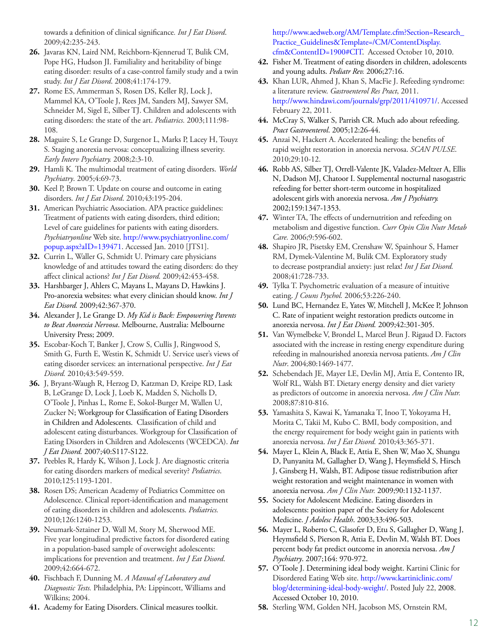towards a definition of clinical significance*. Int J Eat Disord*. 2009;42:235-243.

- **26.** Javaras KN, Laird NM, Reichborn-Kjennerud T, Bulik CM, Pope HG, Hudson JI. Familiality and heritability of binge eating disorder: results of a case-control family study and a twin study. *Int J Eat Disord*. 2008;41:174-179.
- **27.** Rome ES, Ammerman S, Rosen DS, Keller RJ, Lock J, Mammel KA, O'Toole J, Rees JM, Sanders MJ, Sawyer SM, Schneider M, Sigel E, Silber TJ. Children and adolescents with eating disorders: the state of the art. *Pediatrics.* 2003;111:98- 108.
- **28.** Maguire S, Le Grange D, Surgenor L, Marks P, Lacey H, Touyz S. Staging anorexia nervosa: conceptualizing illness severity. *Early Interv Psychiatry.* 2008;2:3-10.
- **29.** Hamli K. The multimodal treatment of eating disorders. *World Psychiatry*. 2005;4:69-73.
- **30.** Keel P, Brown T. Update on course and outcome in eating disorders. *Int J Eat Disord*. 2010;43:195-204.
- **31.** American Psychiatric Association. APA practice guidelines: Treatment of patients with eating disorders, third edition; Level of care guidelines for patients with eating disorders. *Psychiatryonline* Web site. [http://www.psychiatryonline.com/](http://www.psychiatryonline.com/popup.aspx?aID=139471) [popup.aspx?aID=139471.](http://www.psychiatryonline.com/popup.aspx?aID=139471) Accessed Jan. 2010 [JTS1].
- **32.** Currin L, Waller G, Schmidt U. Primary care physicians knowledge of and attitudes toward the eating disorders: do they affect clinical actions? *Int J Eat Disord.* 2009;42:453-458.
- **33.** Harshbarger J, Ahlers C, Mayans L, Mayans D, Hawkins J. Pro-anorexia websites: what every clinician should know. *Int J Eat Disord.* 2009;42:367-370.
- **34.** Alexander J, Le Grange D. *My Kid is Back: Empowering Parents to Beat Anorexia Nervosa*. Melbourne, Australia: Melbourne University Press; 2009.
- **35.** Escobar-Koch T, Banker J, Crow S, Cullis J, Ringwood S, Smith G, Furth E, Westin K, Schmidt U. Service user's views of eating disorder services: an international perspective. *Int J Eat Disord.* 2010;43:549-559.
- **36.** J, Bryant-Waugh R, Herzog D, Katzman D, Kreipe RD, Lask B, LeGrange D, Lock J, Loeb K, Madden S, Nicholls D, O'Toole J, Pinhas L, Rome E, Sokol-Burger M, Wallen U, Zucker N; Workgroup for Classification of Eating Disorders in Children and Adolescents. Classification of child and adolescent eating disturbances. Workgroup for Classification of Eating Disorders in Children and Adolescents (WCEDCA). *Int J Eat Disord.* 2007;40:S117-S122.
- **37.** Peebles R, Hardy K, Wilson J, Lock J. Are diagnostic criteria for eating disorders markers of medical severity? *Pediatrics*. 2010;125:1193-1201.
- **38.** Rosen DS; American Academy of Pediatrics Committee on Adolescence. Clinical report-identification and management of eating disorders in children and adolescents. *Pediatrics.* 2010;126:1240-1253.
- **39.** Neumark-Sztainer D, Wall M, Story M, Sherwood ME. Five year longitudinal predictive factors for disordered eating in a population-based sample of overweight adolescents: implications for prevention and treatment. *Int J Eat Disord*. 2009;42:664-672.
- **40.** Fischbach F, Dunning M. *A Manual of Laboratory and Diagnostic Tests.* Philadelphia, PA: Lippincott, Williams and Wilkins; 2004.
- **41.** Academy for Eating Disorders. Clinical measures toolkit.

[http://www.aedweb.org/AM/Template.cfm?Section=Research\\_](http://www.aedweb.org/AM/Template.cfm?Section=Research_Practice_Guidelines&Template=/CM/ContentDisplay.cfm&ContentID=1900#CIT) [Practice\\_Guidelines&Template=/CM/ContentDisplay.](http://www.aedweb.org/AM/Template.cfm?Section=Research_Practice_Guidelines&Template=/CM/ContentDisplay.cfm&ContentID=1900#CIT) [cfm&ContentID=1900#CIT](http://www.aedweb.org/AM/Template.cfm?Section=Research_Practice_Guidelines&Template=/CM/ContentDisplay.cfm&ContentID=1900#CIT). Accessed October 10, 2010.

- **42.** Fisher M. Treatment of eating disorders in children, adolescents and young adults. *Pediatr Rev.* 2006;27:16.
- **43.** Khan LUR, Ahmed J, Khan S, MacFie J. Refeeding syndrome: a literature review. *Gastroenterol Res Pract*, 2011. [http://www.hindawi.com/journals/grp/2011/410971/.](http://www.hindawi.com/journals/grp/2011/410971/) Accessed February 22, 2011.
- **44.** McCray S, Walker S, Parrish CR. Much ado about refeeding. *Pract Gastroenterol*. 2005;12:26-44.
- **45.** Anzai N, Hackert A. Accelerated healing: the benefits of rapid weight restoration in anorexia nervosa. *SCAN PULSE*. 2010;29:10-12.
- **46.** Robb AS, Silber TJ, Orrell-Valente JK, Valadez-Meltzer A, Ellis N, Dadson MJ, Chatoor I. Supplemental nocturnal nasogastric refeeding for better short-term outcome in hospitalized adolescent girls with anorexia nervosa. *Am J Psychiatry.* 2002;159:1347-1353.
- **47.** Winter TA, The effects of undernutrition and refeeding on metabolism and digestive function. *Curr Opin Clin Nutr Metab Care.* 2006;9:596-602.
- **48.** Shapiro JR, Pisetsky EM, Crenshaw W, Spainhour S, Hamer RM, Dymek-Valentine M, Bulik CM. Exploratory study to decrease postprandial anxiety: just relax! *Int J Eat Disord.* 2008;41:728-733.
- **49.** Tylka T. Psychometric evaluation of a measure of intuitive eating. *J Couns Psychol.* 2006;53:226-240.
- **50.** Lund BC, Hernandez E, Yates W, Mitchell J, McKee P, Johnson C. Rate of inpatient weight restoration predicts outcome in anorexia nervosa. *Int J Eat Disord.* 2009;42:301-305.
- **51.** Van Wymelbeke V, Brondel L, Marcel Brun J. Rigaud D. Factors associated with the increase in resting energy expenditure during refeeding in malnourished anorexia nervosa patients. *Am J Clin Nutr*. 2004;80:1469-1477.
- **52.** Schebendach JE, Mayer LE, Devlin MJ, Attia E, Contento IR, Wolf RL, Walsh BT. Dietary energy density and diet variety as predictors of outcome in anorexia nervosa. *Am J Clin Nutr.* 2008;87:810-816.
- **53.** Yamashita S, Kawai K, Yamanaka T, Inoo T, Yokoyama H, Morita C, Takii M, Kubo C. BMI, body composition, and the energy requirement for body weight gain in patients with anorexia nervosa. *Int J Eat Disord.* 2010;43:365-371.
- **54.** Mayer L, Klein A, Black E, Attia E, Shen W, Mao X, Shungu D, Punyanita M, Gallagher D, Wang J, Heymsfield S, Hirsch J, Ginsberg H, Walsh, BT. Adipose tissue redistribution after weight restoration and weight maintenance in women with anorexia nervosa. *Am J Clin Nutr.* 2009;90:1132-1137.
- **55.** Society for Adolescent Medicine. Eating disorders in adolescents: position paper of the Society for Adolescent Medicine. *J Adolesc Health*. 2003;33:496-503.
- **56.** Mayer L, Roberto C, Glasofer D, Etu S, Gallagher D, Wang J, Heymsfield S, Pierson R, Attia E, Devlin M, Walsh BT. Does percent body fat predict outcome in anorexia nervosa. *Am J Psychiatry*. 2007;164: 970-972.
- **57.** O'Toole J. Determining ideal body weight. Kartini Clinic for Disordered Eating Web site. [http://www.kartiniclinic.com/](http://www.kartiniclinic.com/blog/determining-ideal-body-weight/) [blog/determining-ideal-body-weight/](http://www.kartiniclinic.com/blog/determining-ideal-body-weight/). Posted July 22, 2008. Accessed October 10, 2010.
- **58.** Sterling WM, Golden NH, Jacobson MS, Ornstein RM,